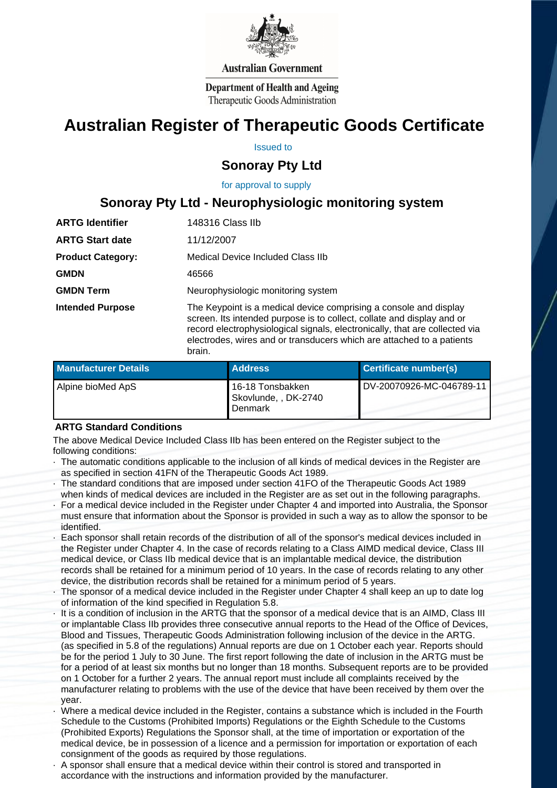

#### **Australian Government**

**Department of Health and Ageing** Therapeutic Goods Administration

# **Australian Register of Therapeutic Goods Certificate**

Issued to

## **Sonoray Pty Ltd**

 for approval to supply

# **Sonoray Pty Ltd - Neurophysiologic monitoring system**

| <b>ARTG Identifier</b>   | 148316 Class IIb                                                                                                                                                                                                                                                                                              |  |
|--------------------------|---------------------------------------------------------------------------------------------------------------------------------------------------------------------------------------------------------------------------------------------------------------------------------------------------------------|--|
| <b>ARTG Start date</b>   | 11/12/2007                                                                                                                                                                                                                                                                                                    |  |
| <b>Product Category:</b> | Medical Device Included Class IIb                                                                                                                                                                                                                                                                             |  |
| <b>GMDN</b>              | 46566                                                                                                                                                                                                                                                                                                         |  |
| <b>GMDN Term</b>         | Neurophysiologic monitoring system                                                                                                                                                                                                                                                                            |  |
| <b>Intended Purpose</b>  | The Keypoint is a medical device comprising a console and display<br>screen. Its intended purpose is to collect, collate and display and or<br>record electrophysiological signals, electronically, that are collected via<br>electrodes, wires and or transducers which are attached to a patients<br>brain. |  |

| <b>Manufacturer Details</b> | <b>Address</b>                                      | Certificate number(s)    |
|-----------------------------|-----------------------------------------------------|--------------------------|
| Alpine bioMed ApS           | 16-18 Tonsbakken<br>Skovlunde, , DK-2740<br>Denmark | DV-20070926-MC-046789-11 |

#### **ARTG Standard Conditions**

 The above Medical Device Included Class IIb has been entered on the Register subject to the following conditions:

- · The automatic conditions applicable to the inclusion of all kinds of medical devices in the Register are as specified in section 41FN of the Therapeutic Goods Act 1989.
- · The standard conditions that are imposed under section 41FO of the Therapeutic Goods Act 1989 when kinds of medical devices are included in the Register are as set out in the following paragraphs.
- For a medical device included in the Register under Chapter 4 and imported into Australia, the Sponsor must ensure that information about the Sponsor is provided in such a way as to allow the sponsor to be identified.
- Each sponsor shall retain records of the distribution of all of the sponsor's medical devices included in the Register under Chapter 4. In the case of records relating to a Class AIMD medical device, Class III medical device, or Class IIb medical device that is an implantable medical device, the distribution records shall be retained for a minimum period of 10 years. In the case of records relating to any other device, the distribution records shall be retained for a minimum period of 5 years.
- The sponsor of a medical device included in the Register under Chapter 4 shall keep an up to date log of information of the kind specified in Regulation 5.8.
- It is a condition of inclusion in the ARTG that the sponsor of a medical device that is an AIMD, Class III or implantable Class IIb provides three consecutive annual reports to the Head of the Office of Devices, Blood and Tissues, Therapeutic Goods Administration following inclusion of the device in the ARTG. (as specified in 5.8 of the regulations) Annual reports are due on 1 October each year. Reports should be for the period 1 July to 30 June. The first report following the date of inclusion in the ARTG must be for a period of at least six months but no longer than 18 months. Subsequent reports are to be provided on 1 October for a further 2 years. The annual report must include all complaints received by the manufacturer relating to problems with the use of the device that have been received by them over the year.
- · Where a medical device included in the Register, contains a substance which is included in the Fourth Schedule to the Customs (Prohibited Imports) Regulations or the Eighth Schedule to the Customs (Prohibited Exports) Regulations the Sponsor shall, at the time of importation or exportation of the medical device, be in possession of a licence and a permission for importation or exportation of each consignment of the goods as required by those regulations.
- · A sponsor shall ensure that a medical device within their control is stored and transported in accordance with the instructions and information provided by the manufacturer.